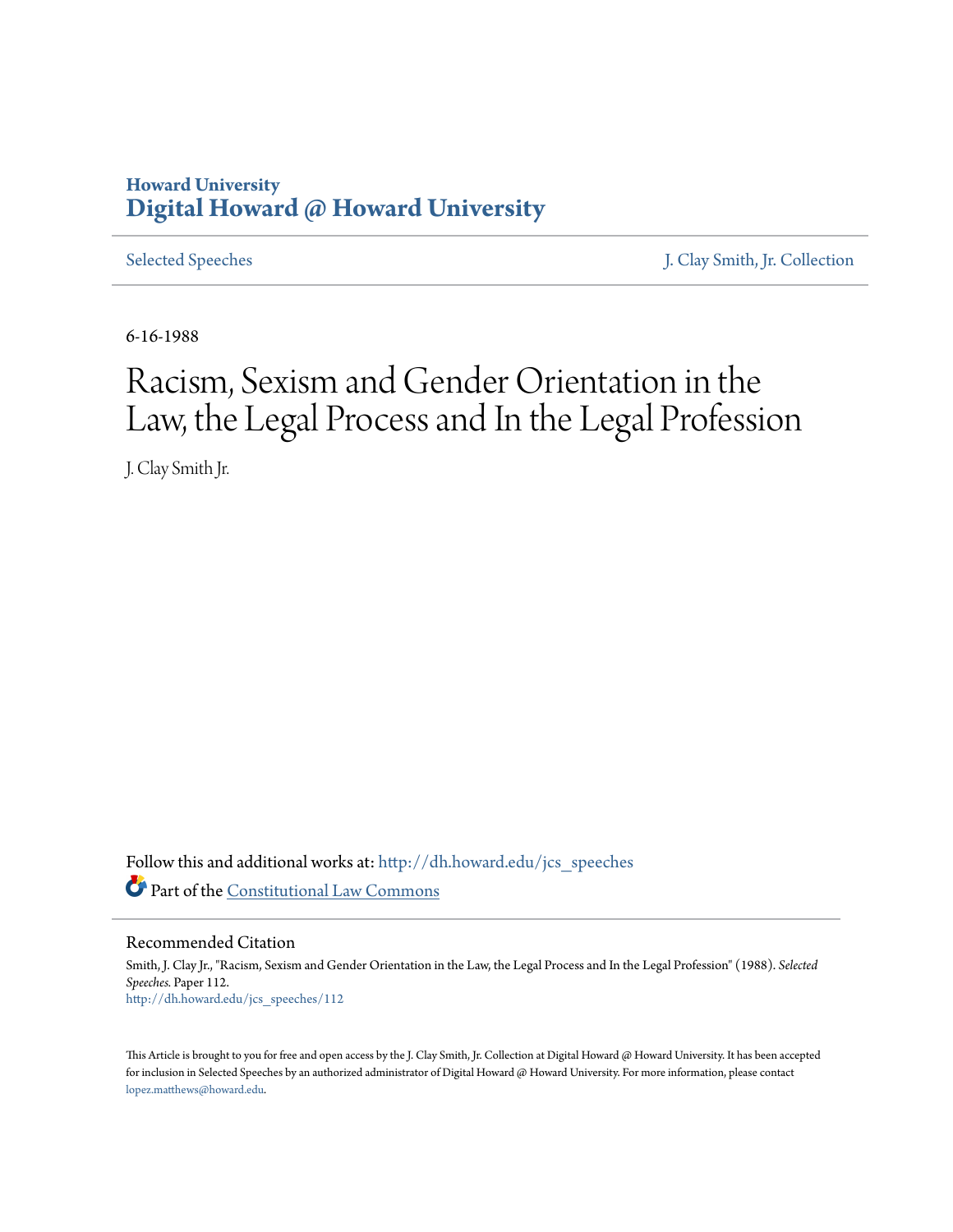# **Howard University [Digital Howard @ Howard University](http://dh.howard.edu?utm_source=dh.howard.edu%2Fjcs_speeches%2F112&utm_medium=PDF&utm_campaign=PDFCoverPages)**

[Selected Speeches](http://dh.howard.edu/jcs_speeches?utm_source=dh.howard.edu%2Fjcs_speeches%2F112&utm_medium=PDF&utm_campaign=PDFCoverPages) [J. Clay Smith, Jr. Collection](http://dh.howard.edu/jcsmith?utm_source=dh.howard.edu%2Fjcs_speeches%2F112&utm_medium=PDF&utm_campaign=PDFCoverPages)

6-16-1988

# Racism, Sexism and Gender Orientation in the Law, the Legal Process and In the Legal Profession

J. Clay Smith Jr.

Follow this and additional works at: [http://dh.howard.edu/jcs\\_speeches](http://dh.howard.edu/jcs_speeches?utm_source=dh.howard.edu%2Fjcs_speeches%2F112&utm_medium=PDF&utm_campaign=PDFCoverPages) Part of the [Constitutional Law Commons](http://network.bepress.com/hgg/discipline/589?utm_source=dh.howard.edu%2Fjcs_speeches%2F112&utm_medium=PDF&utm_campaign=PDFCoverPages)

Recommended Citation

Smith, J. Clay Jr., "Racism, Sexism and Gender Orientation in the Law, the Legal Process and In the Legal Profession" (1988). *Selected Speeches.* Paper 112. [http://dh.howard.edu/jcs\\_speeches/112](http://dh.howard.edu/jcs_speeches/112?utm_source=dh.howard.edu%2Fjcs_speeches%2F112&utm_medium=PDF&utm_campaign=PDFCoverPages)

This Article is brought to you for free and open access by the J. Clay Smith, Jr. Collection at Digital Howard @ Howard University. It has been accepted for inclusion in Selected Speeches by an authorized administrator of Digital Howard @ Howard University. For more information, please contact [lopez.matthews@howard.edu.](mailto:lopez.matthews@howard.edu)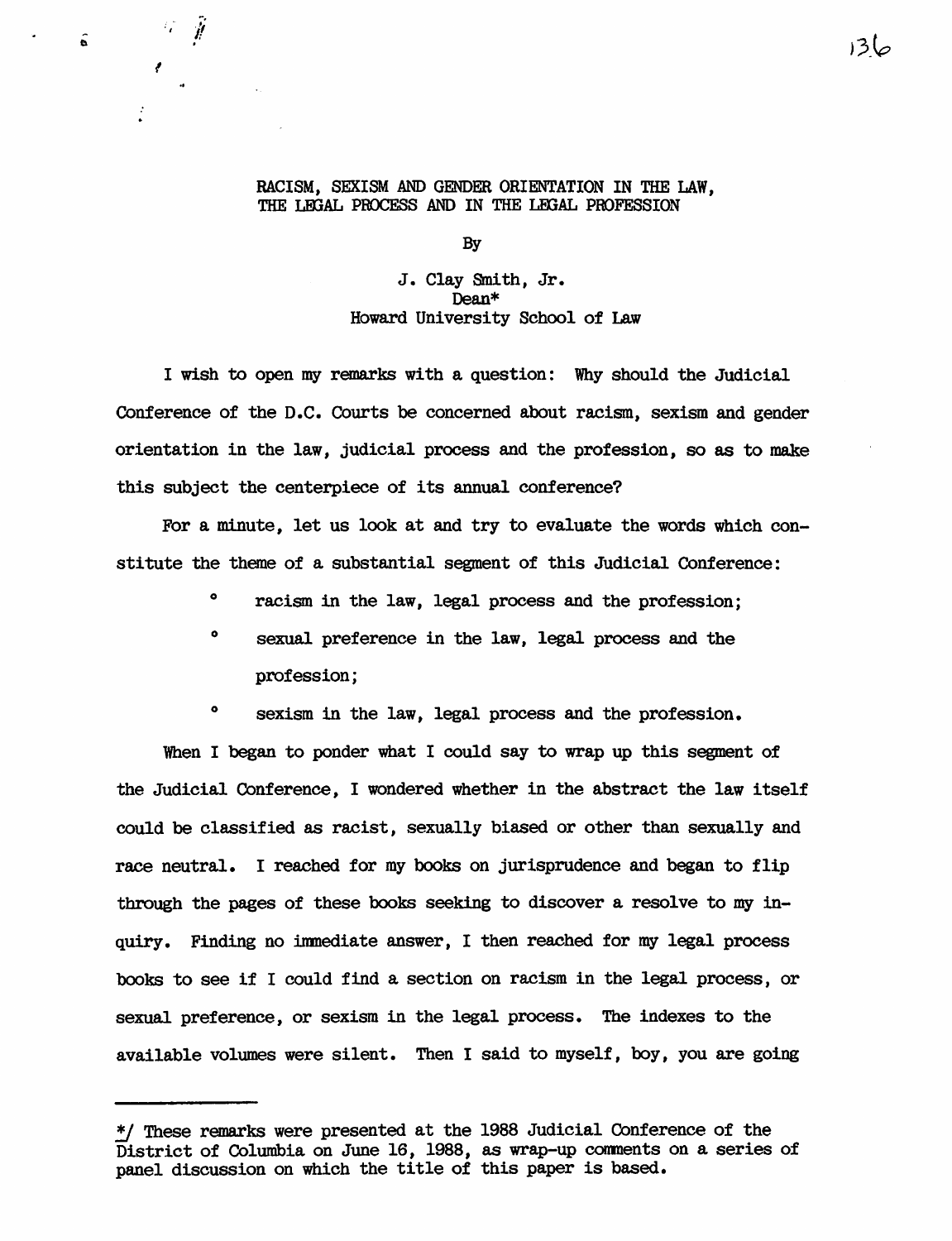# RACISM, SEXISM AND GENDER ORIENTATION IN THE LAW, THE LEGAL PROCESS AND IN THE LEGAL PROFESSION

By

J. Clay Smith, Jr. Dean\* Howard University School of Law

I wish to open my remarks with a question: Why should the Judicial Conference of the D.C. Courts be concerned about racism, sexism and gender orientation in the law, judicial process and the profession, so as to make this subject the centerpiece of its annual conference?

For a minute, let us look at and try to evaluate the words which constitute the theme of a substantial segment of this Judicial Conference:

- ° racism in the law, legal process and the profession;
- <sup>o</sup> sexual preference in the law, legal process and the profession;
- <sup>o</sup> sexism in the law, legal process and the profession.

When I began to ponder what I could say to wrap up this segment of the Judicial Conference, I wondered whether in the abstract the law itself could be classified as racist, sexually biased or other than sexually and race neutral. I reached for my books on jurisprudence and began to flip through the pages of these books seeking to discover a resolve to my inquiry. Finding no inmediate answer, I then reached for my legal process books to see if I could find a section on racism in the legal process, or sexual preference, or sexism in the legal process. The indexes to the available volumes were silent. Then I said to myself, boy, you are going

 $136$ 

I

 $\cdot$  . If .

<sup>!</sup>I These remarks were presented at the 1988 Judicial Conference of the District of Columbia on June 16, 1988, as wrap-up comments on a series of panel discussion on which the title of this paper is based.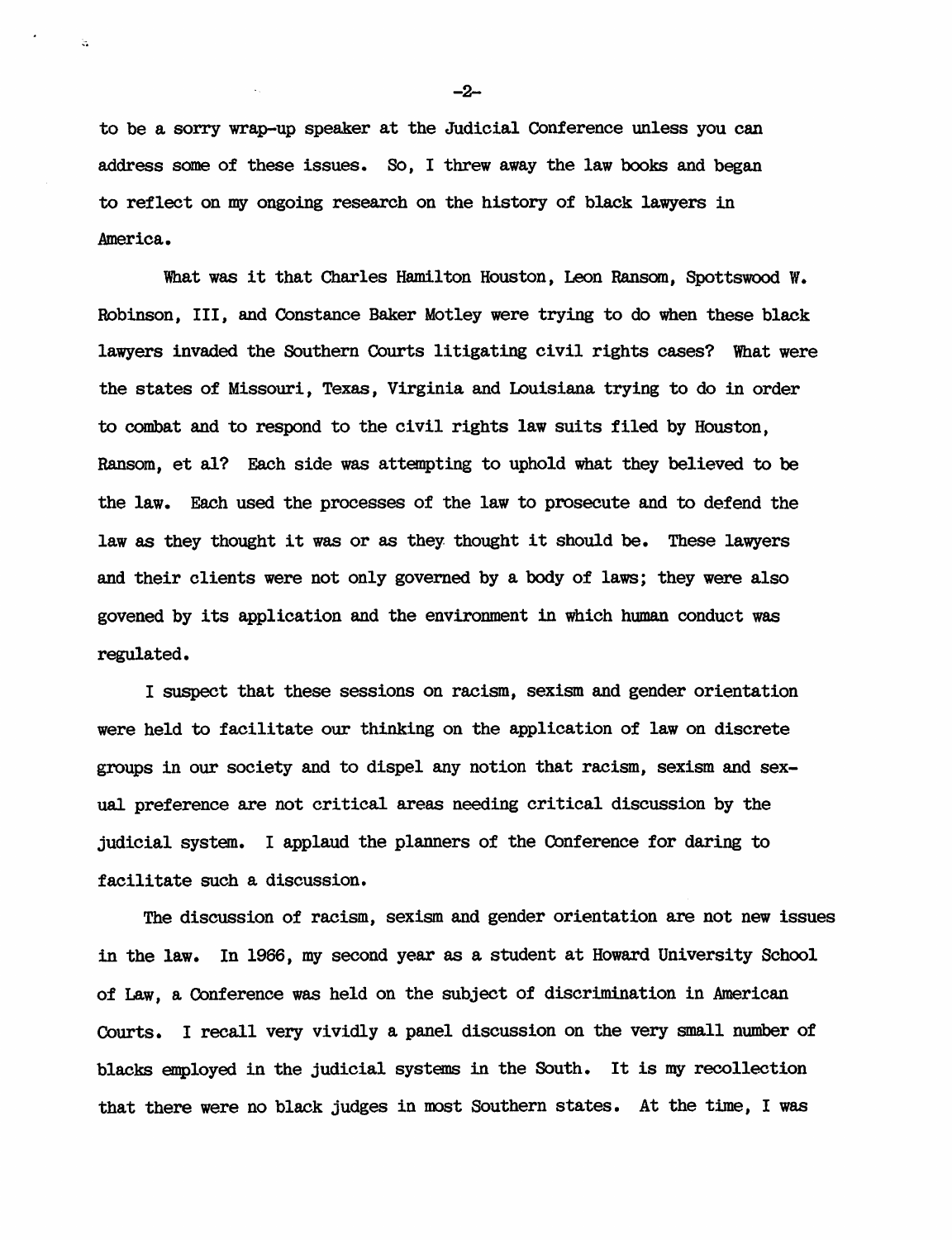to be a sorry wrap-up speaker at the Judicial Conference unless you can address some of these issues. So, I threw away the law books and began to reflect on my ongoing research on the history of black lawyers in America.

,.

What was it that Charles Hamilton Houston, Leon Ransom, Spottswood W. Robinson, III, and Constance Baker Motley were trying to do when these black lawyers invaded the Southern Courts litigating civil rights cases? What were the states of Missouri, Texas, Virginia and Louisiana trying to do in order to combat and to respond to the civil rights law suits filed by Houston, Ransom, et al? Each side was attempting to uphold what they believed to be the law. Each used the processes of the law to prosecute and to defend the law as they thought it was or as they thought it should be. These lawyers and their clients were not only governed by a body of laws; they were also govened by its application and the environment in which human conduct was regulated.

I suspect that these sessions on racism, sexism and gender orientation were held to facilitate our thinking on the application of law on discrete groups in our society and to dispel any notion that racism, sexism and sexual preference are not critical areas needing critical discussion by the judicial system. I applaud the planners of the Conference for daring to facilitate such a discussion.

The discussion of racism, sexism and gender orientation are not new issues in the law. In 1966, my second year as a student at Howard University School of Law, a Conference was held on the subject of discrimination in American Courts. I recall very vividly a panel discussion on the very small number of blacks employed in the judicial systems in the South. It is my recollection that there were no black judges in most Southern states. At the time, I was

-2-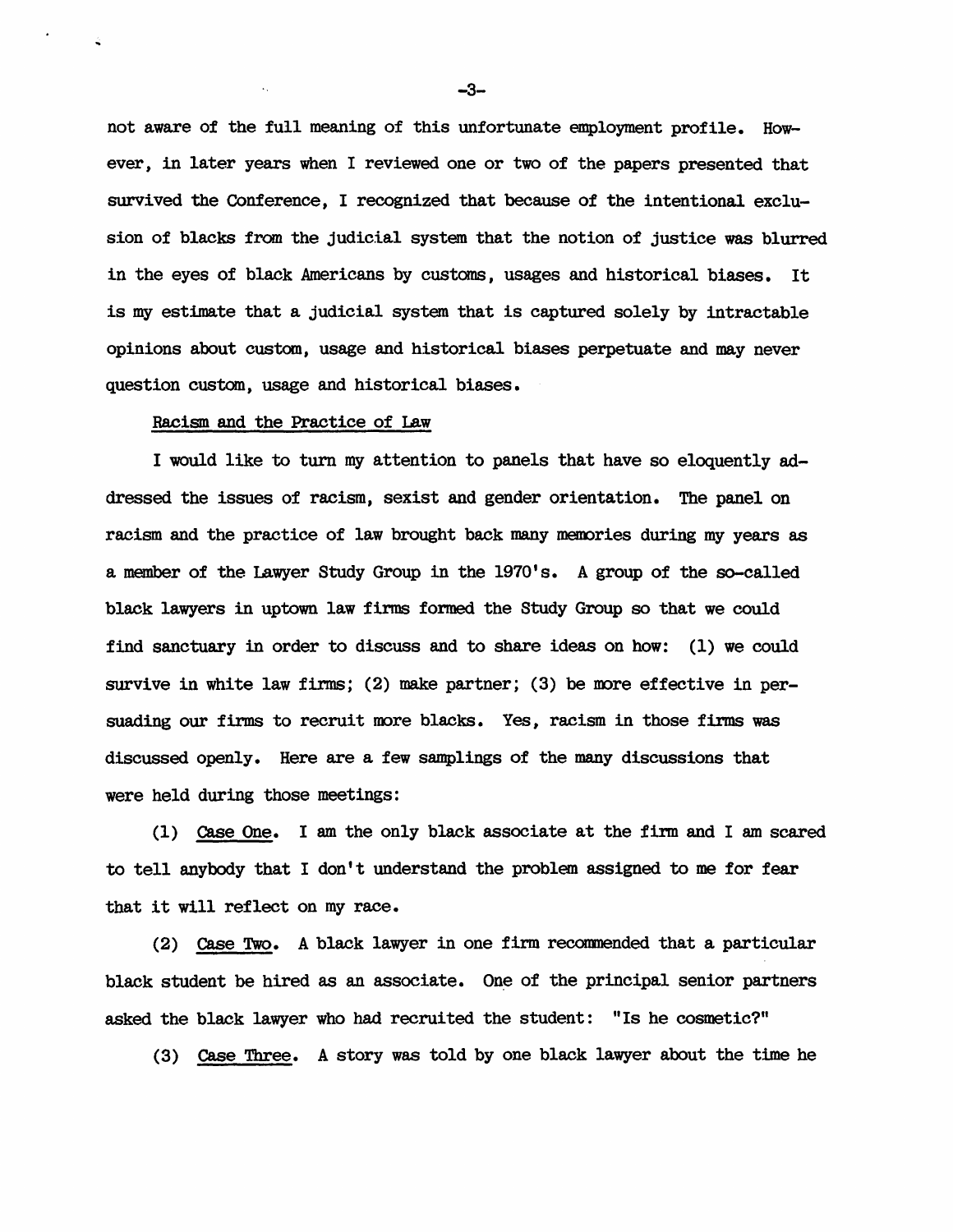not aware of the full meaning of this unfortunate employment profile. However, in later years when I reviewed one or two of the papers presented that survived the Conference, I recognized that because of the intentional exclusion of blacks from the judicial system that the notion of justice was blurred in the eyes of black Americans by customs, usages and historical biases. It is my estimate that a judicial system that is captured solely by intractable opinions about custom, usage and historical biases perpetuate and may never question custom, usage and historical biases.

## Racism and the Practice of Law

I would like to turn my attention to panels that have so eloquently addressed the issues of racism, sexist and gender orientation. The panel on racism and the practice of law brought back many memories during my years as a member of the Lawyer Study Group in the 1970's. A group of the so-called black lawyers in uptown law finns formed the Study Group so that we could find sanctuary in order to discuss and to share ideas on how: (1) we could survive in white law firms; (2) make partner; (3) be more effective in persuading our firms to recruit more blacks. Yes, racism in those firms was discussed openly. Here are a few samplings of the many discussions that were held during those meetings:

(1) case One. I am the only black associate at the firm and I am scared to tell anybody that I don't understand the problem assigned to me for fear that it will reflect on my race.

(2) case Two. A black lawyer in one firm recomnended that a particular black student be hired as an associate. One of the principal senior partners asked the black lawyer who had recruited the student: "Is he cosmetic?"

(3) Case Three. A story was told by one black lawyer about the time he

-3-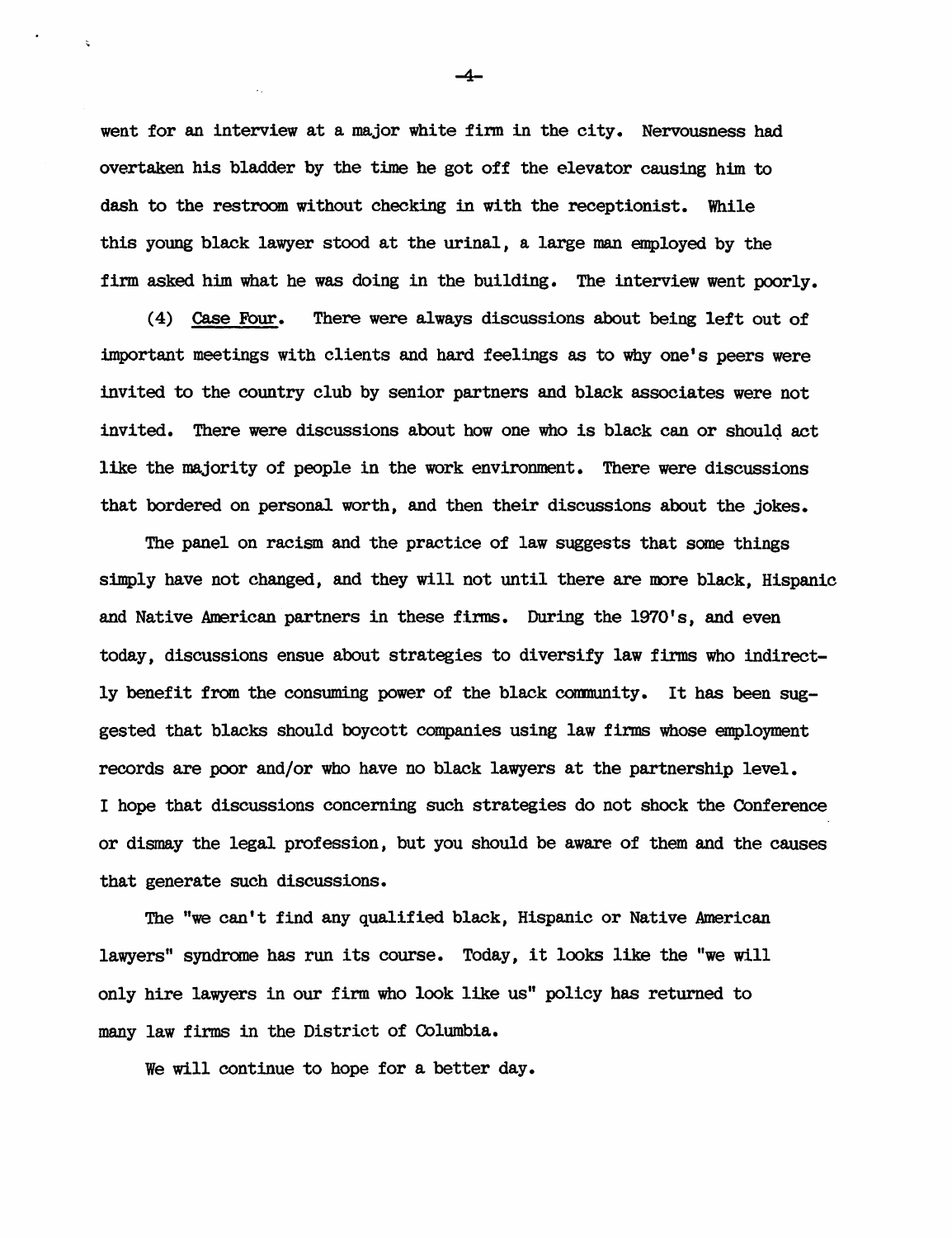went for an interview at a major white firm in the city. Nervousness had overtaken his bladder by the time he got off the elevator causing him to dash to the restroom without checking in with the receptionist. While this young black lawyer stood at the urinal, a large man employed by the firm asked him what he was doing in the building. The interview went poorly.

( 4) Case Four. There were always discussions about being left out of important meetings with clients and hard feelings as to why one's peers were invited to the country club by senior partners and black associates were not invited. There were discussions about how one who is black can or shou14 act like the majority of people in the work environment. There were discussions that bordered on personal worth, and then their discussions about the jokes.

The panel on racism and the practice of law suggests that some things simply have not changed, and they will not until there are more black. Hispanic and Native American partners in these firms. During the 1970' s, and even today, discussions ensue about strategies to diversify law firms who indirectly benefit from the consuming power of the black community. It has been suggested that blacks should boycott companies using law firms whose employment records are poor and/or who have no black lawyers at the partnership level. I hope that discussions concerning such strategies do not shock the Conference or dismay the legal profession, but you should be aware of them and the causes that generate such discussions.

The "we can't find any qualified black, Hispanic or Native American lawyers" syndrome has run its course. Today, it looks like the "we will only hire lawyers in our firm who look like us" policy bas returned to many law firms in the District of Columbia.

We will continue to hope for a better day.

-4-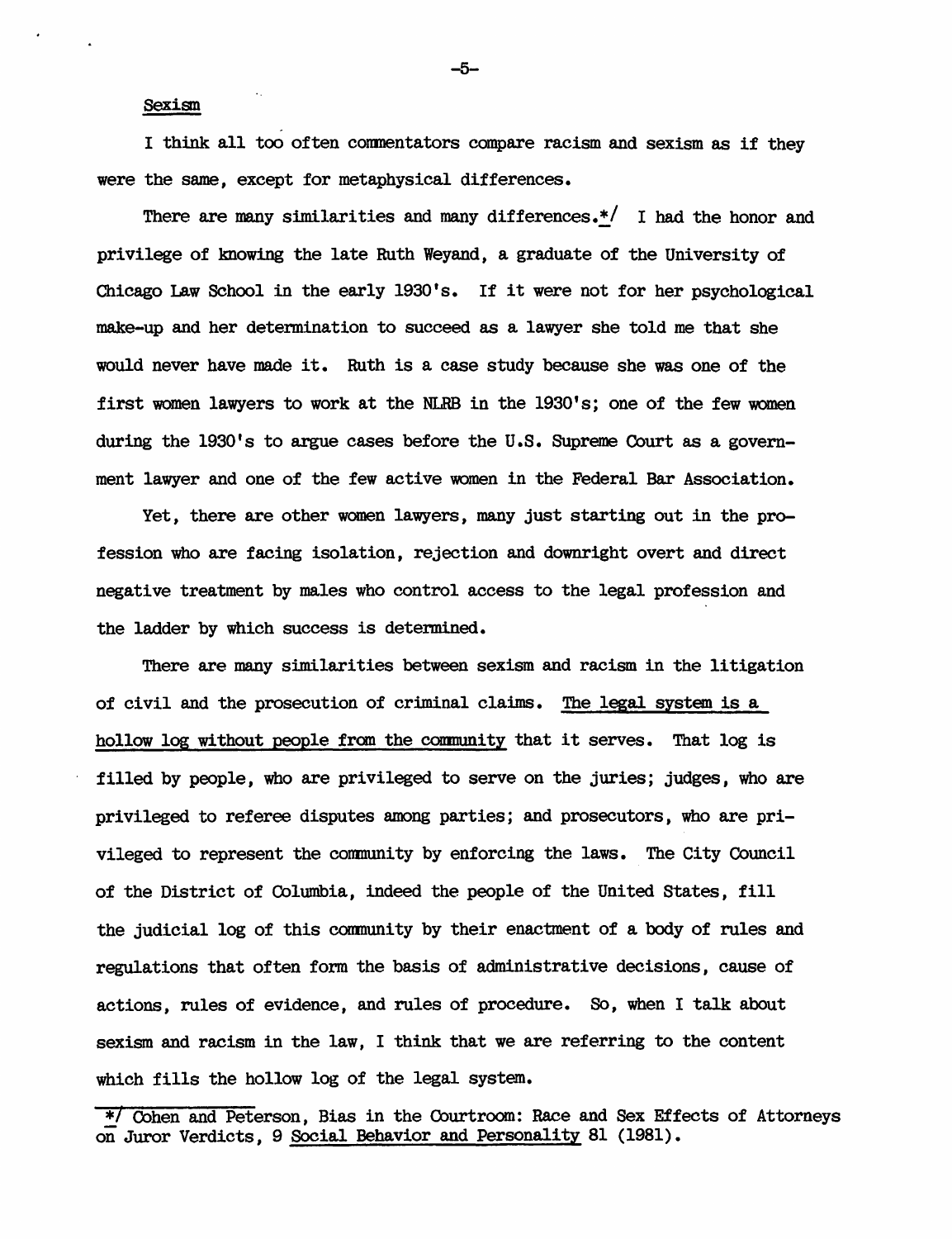#### Sexism

I think all too often commentators compare racism and sexism as if they were the same, except for metaphysical differences.

There are many similarities and many differences. $*/$  I had the honor and privilege of knowing the late Ruth Weyand, a graduate of the University of Chicago Law School in the early 1930's. If it were not for her psychological make-up and her determination to succeed as a lawyer she told me that she would never have made it. Ruth is a case study because she was one of the first women lawyers to work at the NLRB in the 1930's; one of the few women during the  $1930$ 's to argue cases before the U.S. Supreme Court as a government lawyer and one of the few active women in the Federal Bar Association.

Yet, there are other women lawyers, many just starting out in the profession who are facing isolation, rejection and downright overt and direct negative treatment by males who control access to the legal profession and the ladder by which success is determined.

There are many similarities between sexism and racism in the litigation of civil and the prosecution of criminal claims. The legal system is a hollow log without people fran the coumunity that it serves. That log is filled by people, who are privileged to serve on the juries; judges, who are privileged to referee disputes among parties; and prosecutors, who are privileged to represent the community by enforcing the laws. The City Cbuncil of the District of Columbia, indeed the people of the United States, fill the judicial log of this community by their enactment of a body of rules and regulations that often form the basis of administrative decisions, cause of actions, rules of evidence, and rules of procedure. So, when I talk about sexism and racism in the law, I think that we are referring to the content which fills the hollow log of the legal system.

-5-

<sup>\* 7</sup> Cohen and Peterson, Bias in the Courtroom: Race and Sex Effects of Attorneys on Juror Verdicts, 9 Social Behavior and Personality 81 (1981).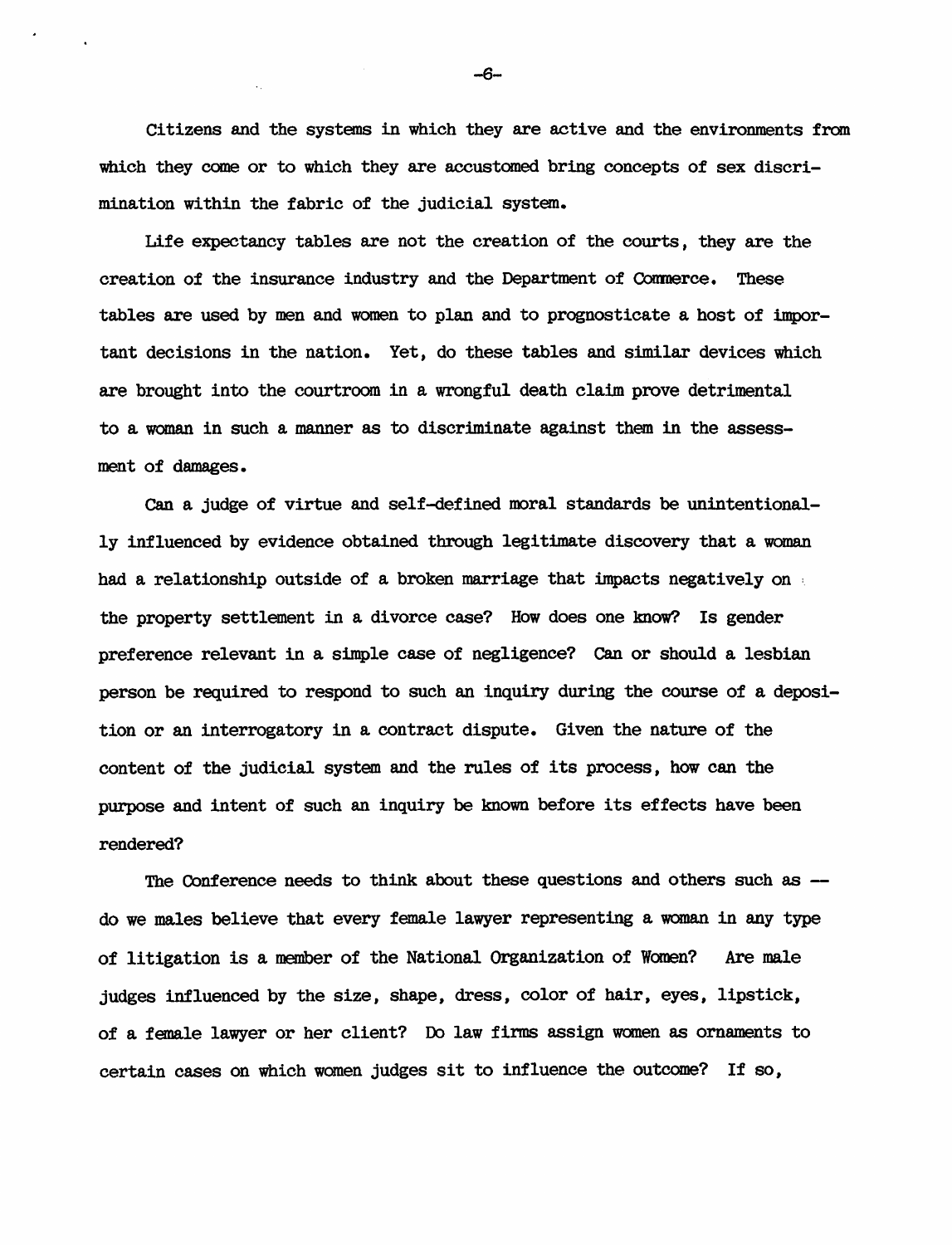Citizens and the systems in which they are active and the environments from which they come or to which they are accustomed bring concepts of sex discrimination within the fabric of the judicial system.

Life expectancy tables are not the creation of the courts. they are the creation of the insurance industry and the Department of Commerce. These tables are used by men and women to plan and to prognosticate a host of important decisions in the nation. Yet. do these tables and similar devices which are brought into the courtroom in a wrongful death claim prove detrimental to a woman in such a manner as to discriminate against them in the assessment of damages.

Can a judge of virtue and self-defined moral standards be unintentionally influenced by evidence obtained through legitimate discovery that a woman had a relationship outside of a broken marriage that impacts negatively on the property settlement in a divorce case? How does one know? Is gender preference relevant in a simple case of negligence? Can or should a lesbian person be required to respond to such an inquiry during the course of a deposition or an interrogatory in a contract dispute. Given the nature of the content of the judicial system and the rules of its process. how can the purpose and intent of such an inquiry be known before its effects have been rendered?

The Conference needs to think about these questions and others such as  $$ do we males believe that every female lawyer representing a woman in any type of litigation is a member of the National Organization of Women? Are male judges influenced by the size, shape, dress, color of hair, eyes, lipstick, of a female lawyer or her client? Do law firms assign women as ornaments to certain cases on which women judges sit to influence the outcome? If so,

-6-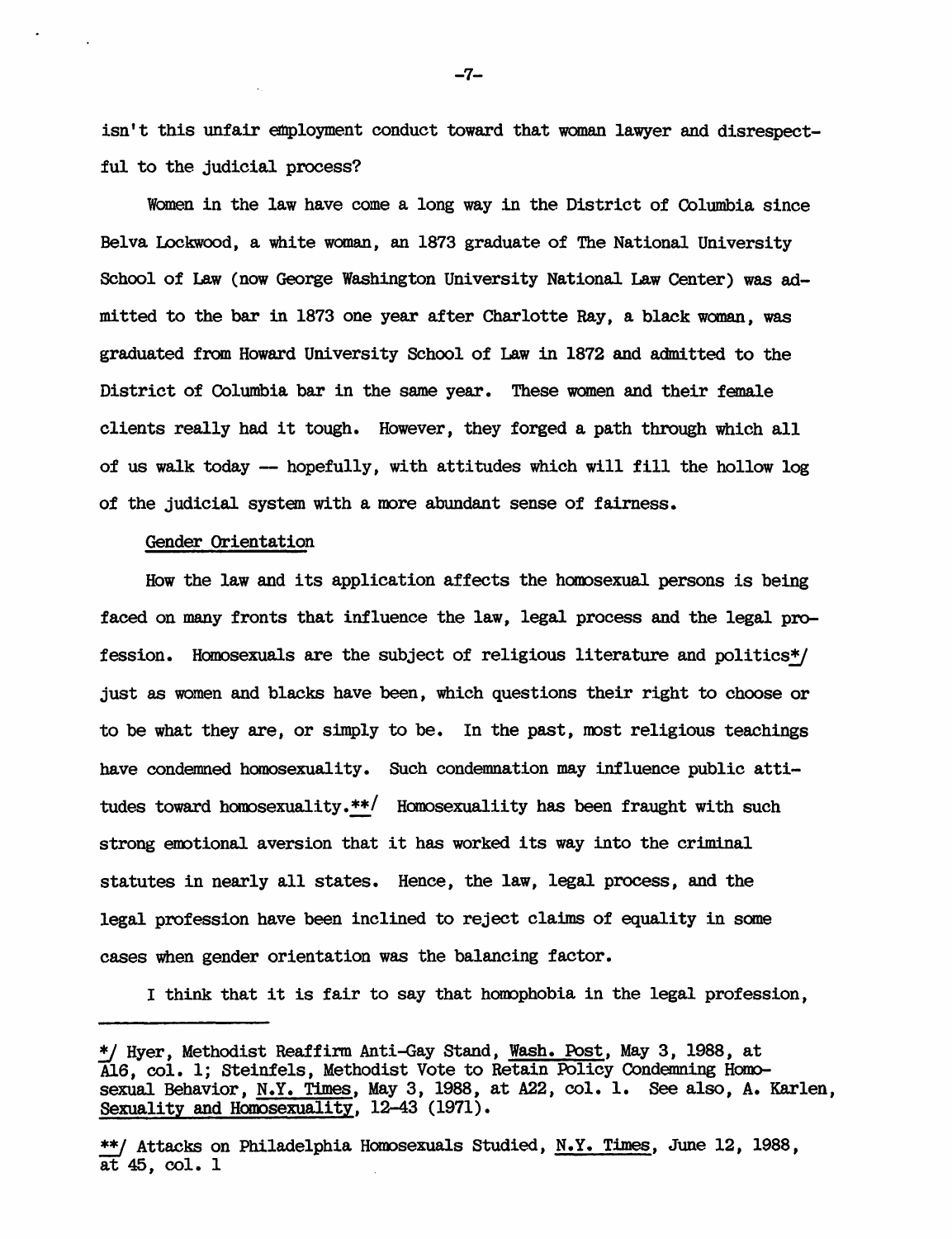isn't this unfair employment conduct toward that woman lawyer and disrespectful to the judicial process?

Women in the law have come a long way in the District of Columbia since Belva Lockwood, a white woman, an 1873 graduate of The National University School of Law (now George Washington University National Law Center) was admi tted to the bar in 1873 one year after Charlotte Ray, a black woman, was graduated from Howard University School of Law in 1872 and admitted to the District of Columbia bar in the same year. These women and their female clients really had it tough. However, they forged a path through which all of us walk today -- hopefully, with attitudes which will fill the hollow log of the judicial system with a more abundant sense of fairness.

#### Gender Orientation

How the law and its application affects the horoosexual persons is being faced on many fronts that influence the law, legal process and the legal profession. Homosexuals are the subject of religious literature and politics\*/ just as women and blacks have been, which questions their right to choose or to be what they are, or simply to be. In the past, most religious teachings have condemned homosexuality. Such condemnation may influence public attitudes toward homosexuality. $**/$  Homosexualiity has been fraught with such strong emotional aversion that it has worked its way into the criminal statutes in nearly all states. Hence, the law, legal process, and the legal profession have been inclined to reject claims of equality in some cases when gender orientation was the balancing factor.

I think that it is fair to say that homophobia in the legal profession.

-7-

<sup>\*/</sup> Hyer, Methodist Reaffirm Anti-Gay Stand, Wash. Post, May 3, 1988, at Al6, col. 1; Steinfels, Methodist Vote to Retain Policy Condemning Homosexual BehaVior, N.Y. Times, May 3, 1988, at A22, col. 1. See also, A. Karlen, Sexuality and Homosexuality, 12-43 (1971).

<sup>~</sup> Attacks on Philadelphia HOIOOsexuals Studied, N.Y. Times, June 12, 1988, at 45, col. 1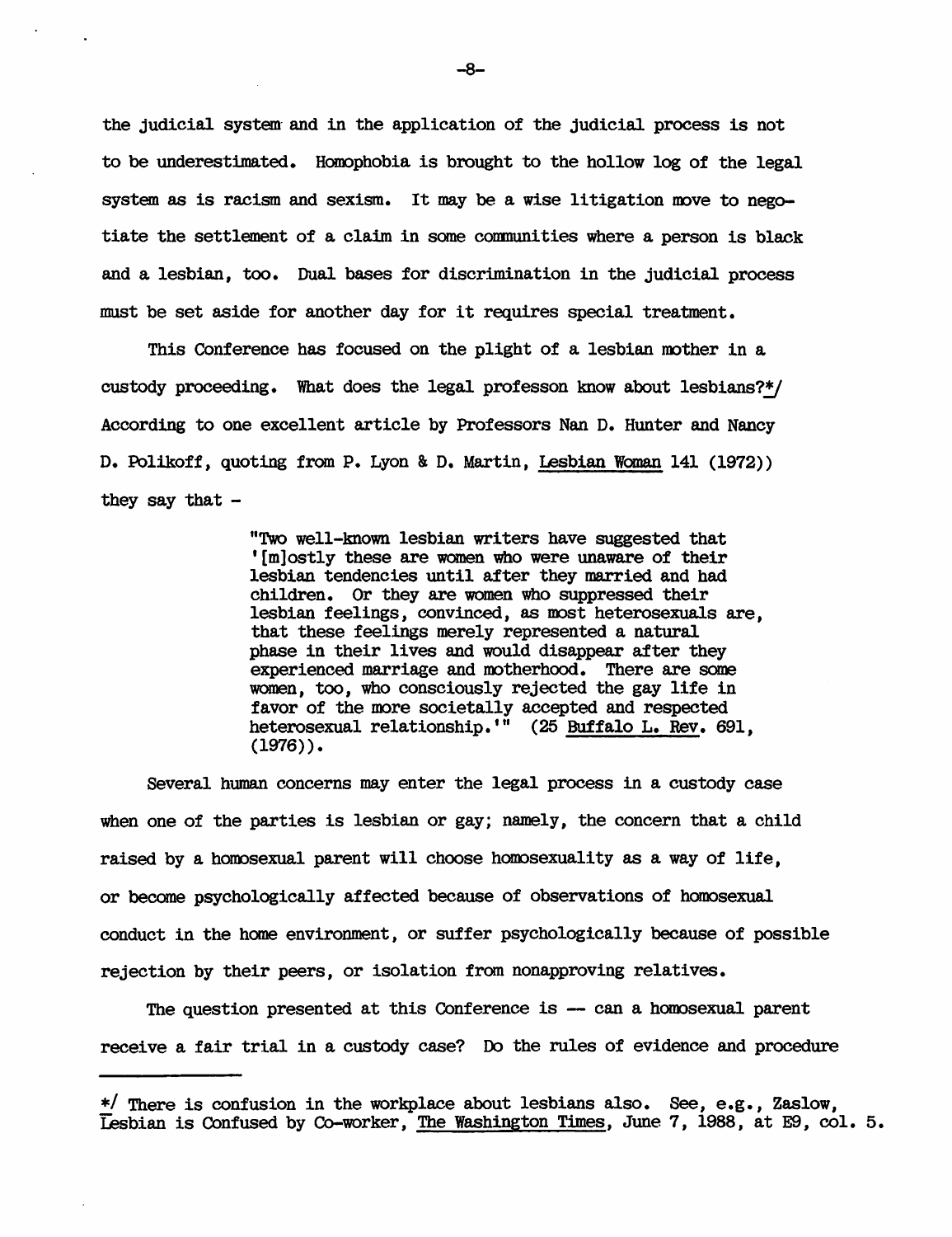the judicial system- and in the application of the judicial process is not to be underestimated. Homophobia is brought to the hollow log of the legal system as is racism and sexism. It may be a wise litigation move to negotiate the settlement of a claim in some communities where a person is black and a lesbian, too. Dual bases for discrimination in the judicial process must be set aside for another day for it requires special treatment.

This Conference has focused on the plight of a lesbian mother in a custody proceeding. What does the legal professon know about lesbians? $*/$ According to one excellent article by Professors Nan D. Hunter and Nancy D. Polikoff, quoting from P. Lyon & D. Martin, lesbian Wanan 141 (1972» they say that  $-$ 

> "Two well-known lesbian writers have suggested that '[m)ostly these are women who were unaware of their lesbian tendencies until after they married and had children. Or they are women who suppressed their lesbian feelings, convinced, as most heterosexuals are, that these feelings merely represented a natural phase in their lives and would disappear after they experienced marriage and motherhood. There are some women, too, who consciously rejected the gay life in favor of the more societally accepted and respected heterosexual relationship.'" (25 Buffalo L. Rev. 691,  $(1976)$ .

Several human concerns may enter the legal process in a custody case when one of the parties is lesbian or gay; namely, the concern that a child raised by a homosexual parent will choose homosexuality as a way of life, or became psychologically affected because of observations of homosexual conduct in the home environment, or suffer psychologically because of possible rejection by their peers, or isolation from nonapproving relatives.

The question presented at this Conference is -- can a homosexual parent receive a fair trial in a custody case? Do the rules of evidence and procedure

<sup>\*/</sup> There is confusion in the workplace about lesbians also. See, e.g., Zaslow, lesbian is Confused by Co-worker, The Washington Times, June 7, 1988, at E9, col. 5.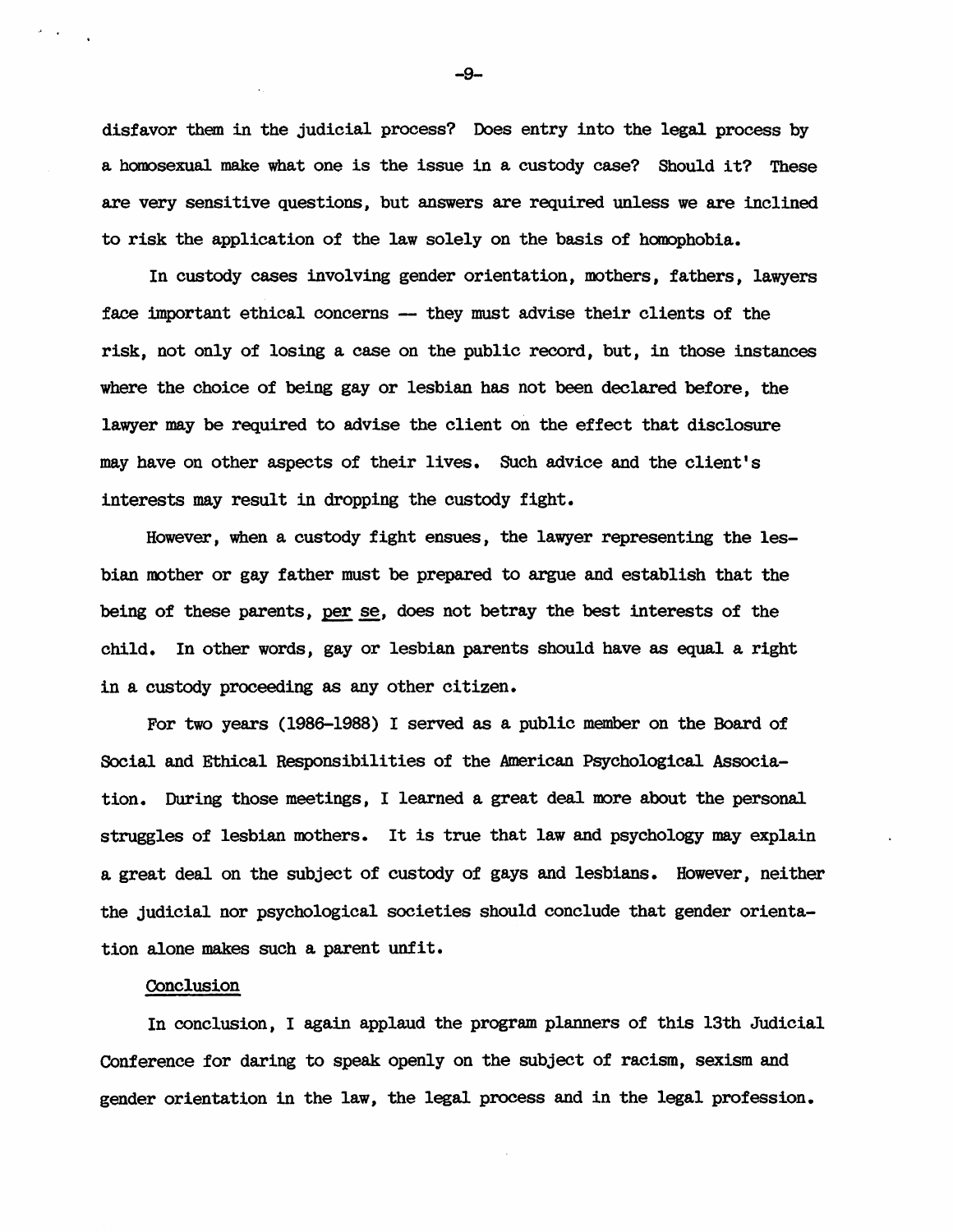disfavor them in the judicial process? Does entry into the legal process by a homosexual make what one is the issue in a custody case? Should it? These are very sensitive questions, but answers are required unless we are inclined to risk the application of the law solely on the basis of homophobia.

In custody cases involving gender orientation, mothers, fathers, lawyers face important ethical concerns -- they must advise their clients of the risk, not only of losing a case on the public record, but, in those instances where the choice of being gay or lesbian has not been declared before, the lawyer may be required to advise the client on the effect that disclosure may have on other aspects of their lives. Such advice and the client's interests may result in dropping the custody fight.

However, when a custody fight ensues, the lawyer representing the lesbian mother or gay father must be prepared to argue and establish that the being of these parents, per se, does not betray the best interests of the child. In other words, gay or lesbian parents should have as equal a right in a custody proceeding as any other citizen.

For two years (1986-1988) I served as a public member on the Board of Social and Ethical Responsibilities of the American Psychological Association. During those meetings, I learned a great deal more about the personal struggles of lesbian mothers. It is true that law and psychology may explain a great deal on the subject of custody of gays and lesbians. However, neither the judicial nor psychological societies should conclude that gender orientation alone makes such a parent unfit.

### Conclusion

In conclusion, I again applaud the program planners of this 13th Judicial Conference for daring to speak openly on the subject of racism, sexism and gender orientation in the law, the legal process and in the legal profession.

-9-